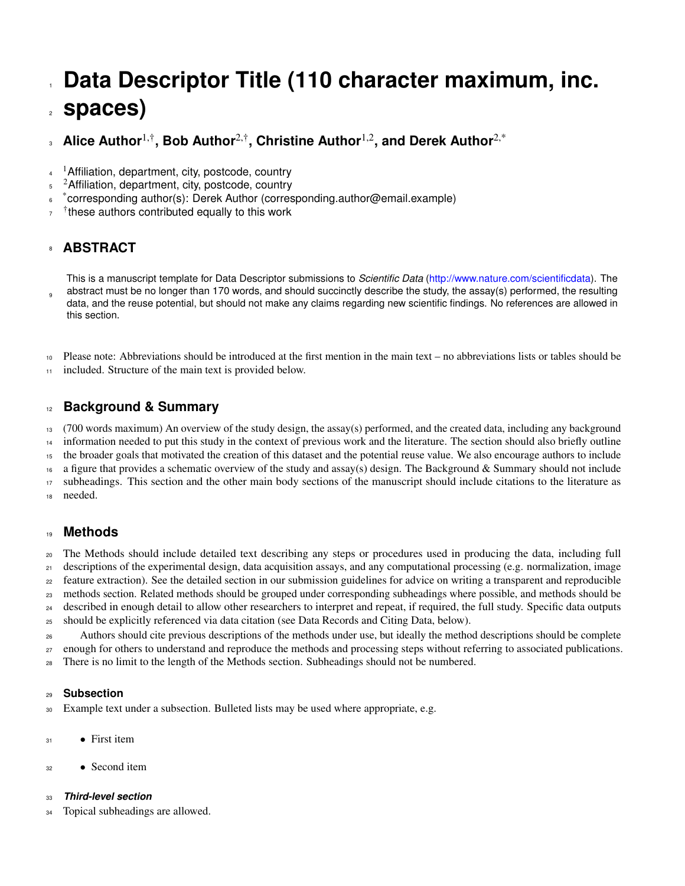# <span id="page-0-0"></span>Data Descriptor Title (110 character maximum, inc. **spaces)**

#### **Alice Author**1,†**, Bob Author**2,†**, Christine Author**1,2**, and Derek Author**2,\*  $\overline{3}$

- $4^{-1}$ Affiliation, department, city, postcode, country
- $5<sup>2</sup>$ Affiliation, department, city, postcode, country
- **s** \*corresponding author(s): Derek Author (corresponding.author@email.example)
- $7<sup>†</sup>$  these authors contributed equally to this work

# **ABSTRACT**

This is a manuscript template for Data Descriptor submissions to *Scientific Data* [\(http://www.nature.com/scientificdata\)](http://www.nature.com/scientificdata). The abstract must be no longer than 170 words, and should succinctly describe the study, the assay(s) performed, the resulting data, and the reuse potential, but should not make any claims regarding new scientific findings. No references are allowed in this section. 

 Please note: Abbreviations should be introduced at the first mention in the main text – no abbreviations lists or tables should be included. Structure of the main text is provided below.

### **Background & Summary**

 (700 words maximum) An overview of the study design, the assay(s) performed, and the created data, including any background information needed to put this study in the context of previous work and the literature. The section should also briefly outline

the broader goals that motivated the creation of this dataset and the potential reuse value. We also encourage authors to include

a figure that provides a schematic overview of the study and assay(s) design. The Background & Summary should not include

 subheadings. This section and the other main body sections of the manuscript should include citations to the literature as needed.

#### **Methods**

The Methods should include detailed text describing any steps or procedures used in producing the data, including full

descriptions of the experimental design, data acquisition assays, and any computational processing (e.g. normalization, image

<sup>22</sup> feature extraction). See the detailed section in our submission guidelines for advice on writing a transparent and reproducible

 methods section. Related methods should be grouped under corresponding subheadings where possible, and methods should be described in enough detail to allow other researchers to interpret and repeat, if required, the full study. Specific data outputs

should be explicitly referenced via data citation (see Data Records and Citing Data, below).

 Authors should cite previous descriptions of the methods under use, but ideally the method descriptions should be complete <sub>27</sub> enough for others to understand and reproduce the methods and processing steps without referring to associated publications.

There is no limit to the length of the Methods section. Subheadings should not be numbered.

#### **Subsection**

Example text under a subsection. Bulleted lists may be used where appropriate, e.g.

- $31 \bullet$  First item
- Second item

#### *Third-level section*

34 Topical subheadings are allowed.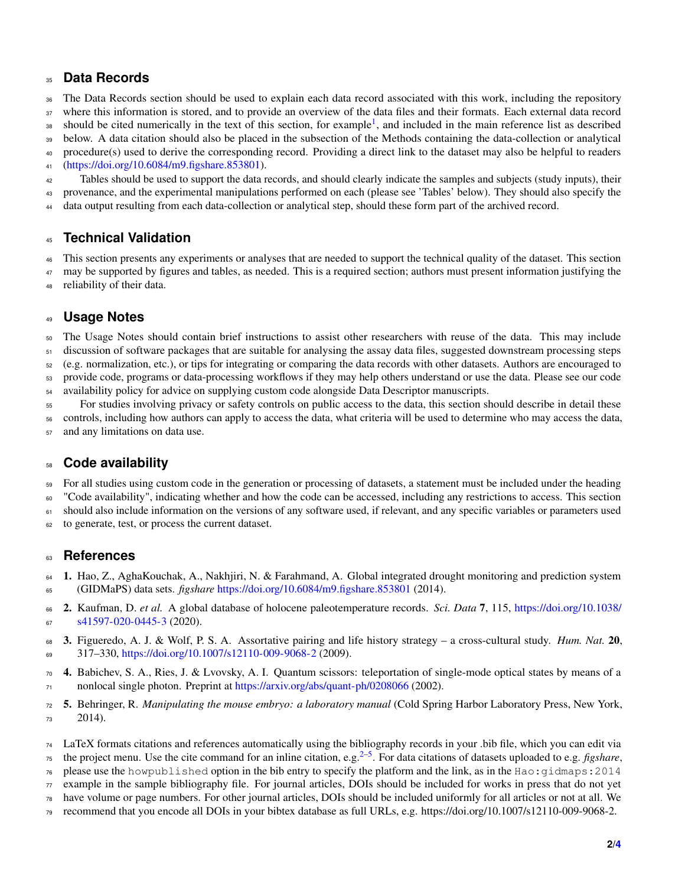# **Data Records**

 The Data Records section should be used to explain each data record associated with this work, including the repository where this information is stored, and to provide an overview of the data files and their formats. Each external data record

38 should be cited numerically in the text of this section, for example<sup>[1](#page-1-0)</sup>, and included in the main reference list as described

below. A data citation should also be placed in the subsection of the Methods containing the data-collection or analytical

procedure(s) used to derive the corresponding record. Providing a direct link to the dataset may also be helpful to readers

[\(https://doi.org/10.6084/m9.figshare.853801\)](#page-0-0).

 Tables should be used to support the data records, and should clearly indicate the samples and subjects (study inputs), their provenance, and the experimental manipulations performed on each (please see 'Tables' below). They should also specify the

data output resulting from each data-collection or analytical step, should these form part of the archived record.

### **Technical Validation**

 This section presents any experiments or analyses that are needed to support the technical quality of the dataset. This section may be supported by figures and tables, as needed. This is a required section; authors must present information justifying the

reliability of their data.

### **Usage Notes**

The Usage Notes should contain brief instructions to assist other researchers with reuse of the data. This may include

discussion of software packages that are suitable for analysing the assay data files, suggested downstream processing steps

 (e.g. normalization, etc.), or tips for integrating or comparing the data records with other datasets. Authors are encouraged to provide code, programs or data-processing workflows if they may help others understand or use the data. Please see our code

availability policy for advice on supplying custom code alongside Data Descriptor manuscripts.

For studies involving privacy or safety controls on public access to the data, this section should describe in detail these

controls, including how authors can apply to access the data, what criteria will be used to determine who may access the data,

and any limitations on data use.

### **Code availability**

For all studies using custom code in the generation or processing of datasets, a statement must be included under the heading

"Code availability", indicating whether and how the code can be accessed, including any restrictions to access. This section

61 should also include information on the versions of any software used, if relevant, and any specific variables or parameters used

to generate, test, or process the current dataset.

#### **References**

- <span id="page-1-0"></span> 1. Hao, Z., AghaKouchak, A., Nakhjiri, N. & Farahmand, A. Global integrated drought monitoring and prediction system (GIDMaPS) data sets. *figshare* <https://doi.org/10.6084/m9.figshare.853801> (2014).
- <span id="page-1-1"></span> [2](https://doi.org/10.1038/s41597-020-0445-3). Kaufman, D. *et al.* A global database of holocene paleotemperature records. *Sci. Data* 7, 115, [https://doi.org/10.1038/](https://doi.org/10.1038/s41597-020-0445-3) [s41597-020-0445-3](https://doi.org/10.1038/s41597-020-0445-3) (2020).
- 3. Figueredo, A. J. & Wolf, P. S. A. Assortative pairing and life history strategy a cross-cultural study. *Hum. Nat.* 20, 317–330, <https://doi.org/10.1007/s12110-009-9068-2> (2009).
- 4. Babichev, S. A., Ries, J. & Lvovsky, A. I. Quantum scissors: teleportation of single-mode optical states by means of a nonlocal single photon. Preprint at <https://arxiv.org/abs/quant-ph/0208066> (2002).
- <span id="page-1-2"></span> 5. Behringer, R. *Manipulating the mouse embryo: a laboratory manual* (Cold Spring Harbor Laboratory Press, New York, 2014).
- LaTeX formats citations and references automatically using the bibliography records in your .bib file, which you can edit via
- <sup>75</sup> the project menu. Use the cite command for an inline citation, e.g.<sup>[2](#page-1-1)[–5](#page-1-2)</sup>. For data citations of datasets uploaded to e.g. *figshare*,
- please use the howpublished option in the bib entry to specify the platform and the link, as in the Hao:  $q$ idmaps: 2014
- $\pi$  example in the sample bibliography file. For journal articles, DOIs should be included for works in press that do not yet
- have volume or page numbers. For other journal articles, DOIs should be included uniformly for all articles or not at all. We
- recommend that you encode all DOIs in your bibtex database as full URLs, e.g. https://doi.org/10.1007/s12110-009-9068-2.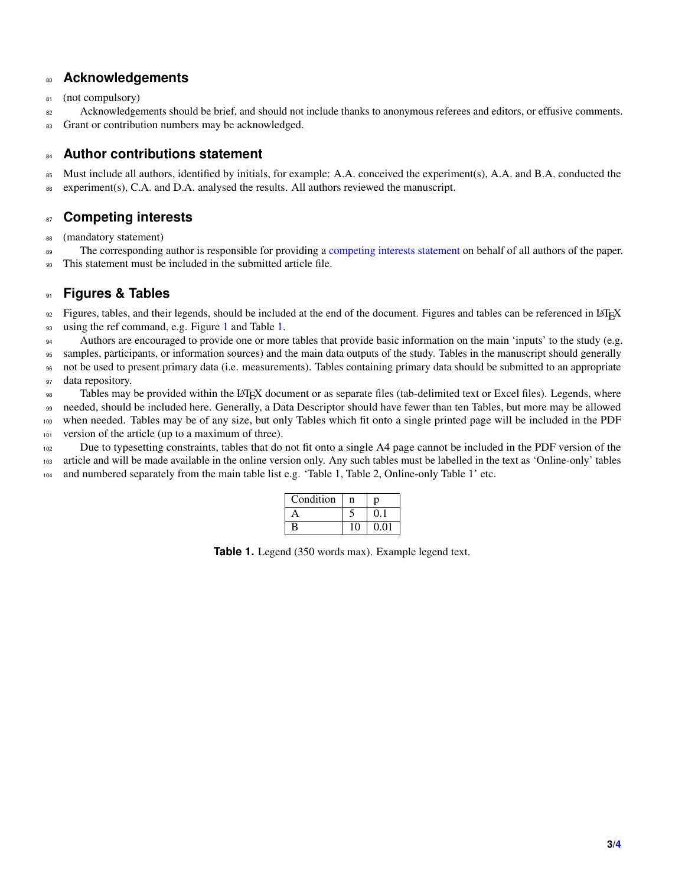#### **Acknowledgements**

81 (not compulsory)

82 Acknowledgements should be brief, and should not include thanks to anonymous referees and editors, or effusive comments.

83 Grant or contribution numbers may be acknowledged.

#### **Author contributions statement**

 Must include all authors, identified by initials, for example: A.A. conceived the experiment(s), A.A. and B.A. conducted the experiment(s), C.A. and D.A. analysed the results. All authors reviewed the manuscript.

### **Competing interests**

(mandatory statement)

<sup>89</sup> The corresponding author is responsible for providing a [competing interests statement](https://www.nature.com/sdata/policies/editorial-and-publishing-policies#competing) on behalf of all authors of the paper.

This statement must be included in the submitted article file.

#### **Figures & Tables**

92 Figures, tables, and their legends, should be included at the end of the document. Figures and tables can be referenced in LATEX using the ref command, e.g. Figure [1](#page-3-1) and Table [1.](#page-2-0)

Authors are encouraged to provide one or more tables that provide basic information on the main 'inputs' to the study (e.g.

 samples, participants, or information sources) and the main data outputs of the study. Tables in the manuscript should generally not be used to present primary data (i.e. measurements). Tables containing primary data should be submitted to an appropriate data repository.

Tables may be provided within the LATEX document or as separate files (tab-delimited text or Excel files). Legends, where needed, should be included here. Generally, a Data Descriptor should have fewer than ten Tables, but more may be allowed when needed. Tables may be of any size, but only Tables which fit onto a single printed page will be included in the PDF version of the article (up to a maximum of three).

<span id="page-2-0"></span> Due to typesetting constraints, tables that do not fit onto a single A4 page cannot be included in the PDF version of the article and will be made available in the online version only. Any such tables must be labelled in the text as 'Online-only' tables 104 and numbered separately from the main table list e.g. 'Table 1, Table 2, Online-only Table 1' etc.

| Condition | n  | n    |
|-----------|----|------|
|           |    | 0.1  |
| B         | 10 | 0.01 |

Table 1. Legend (350 words max). Example legend text.